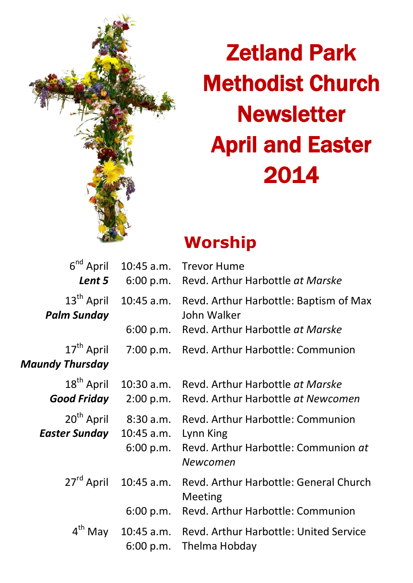

# Zetland Park Methodist Church **Newsletter** April and Easter 2014

## **Worship**

| $6nd$ April<br>Lent 5                          | 10:45 a.m.<br>6:00 p.m.              | <b>Trevor Hume</b><br>Revd. Arthur Harbottle at Marske                                             |  |
|------------------------------------------------|--------------------------------------|----------------------------------------------------------------------------------------------------|--|
| 13 <sup>th</sup> April<br><b>Palm Sunday</b>   | 10:45 a.m.<br>6:00 p.m.              | Revd. Arthur Harbottle: Baptism of Max<br>John Walker<br>Revd. Arthur Harbottle at Marske          |  |
| 17 <sup>th</sup> April<br>Maundy Thursday      |                                      | 7:00 p.m. Revd. Arthur Harbottle: Communion                                                        |  |
| 18 <sup>th</sup> April<br>Good Friday          | $10:30$ a.m.<br>2:00 p.m.            | Revd. Arthur Harbottle at Marske<br>Revd. Arthur Harbottle at Newcomen                             |  |
| 20 <sup>th</sup> April<br><b>Easter Sunday</b> | 8:30a.m.<br>10:45 a.m.<br>6:00 p.m.  | Revd. Arthur Harbottle: Communion<br>Lynn King<br>Revd. Arthur Harbottle: Communion at<br>Newcomen |  |
| 27 <sup>rd</sup> April                         | 10:45 a.m.<br>6:00 p.m.              | Revd. Arthur Harbottle: General Church<br>Meeting<br>Revd. Arthur Harbottle: Communion             |  |
|                                                | $4^{th}$ May 10:45 a.m.<br>6:00 p.m. | Revd. Arthur Harbottle: United Service<br>Thelma Hobday                                            |  |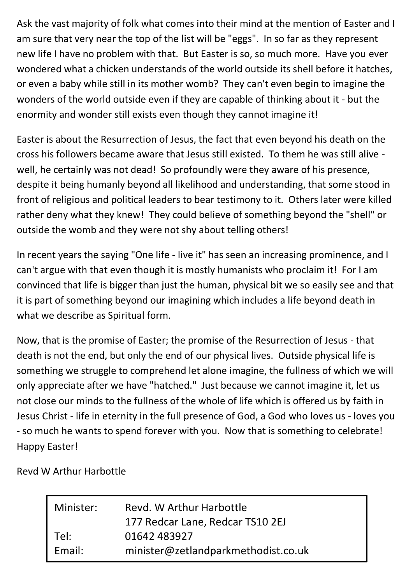Ask the vast majority of folk what comes into their mind at the mention of Easter and I am sure that very near the top of the list will be "eggs". In so far as they represent new life I have no problem with that. But Easter is so, so much more. Have you ever wondered what a chicken understands of the world outside its shell before it hatches, or even a baby while still in its mother womb? They can't even begin to imagine the wonders of the world outside even if they are capable of thinking about it - but the enormity and wonder still exists even though they cannot imagine it!

Easter is about the Resurrection of Jesus, the fact that even beyond his death on the cross his followers became aware that Jesus still existed. To them he was still alive well, he certainly was not dead! So profoundly were they aware of his presence, despite it being humanly beyond all likelihood and understanding, that some stood in front of religious and political leaders to bear testimony to it. Others later were killed rather deny what they knew! They could believe of something beyond the "shell" or outside the womb and they were not shy about telling others!

In recent years the saying "One life - live it" has seen an increasing prominence, and I can't argue with that even though it is mostly humanists who proclaim it! For I am convinced that life is bigger than just the human, physical bit we so easily see and that it is part of something beyond our imagining which includes a life beyond death in what we describe as Spiritual form.

Now, that is the promise of Easter; the promise of the Resurrection of Jesus - that death is not the end, but only the end of our physical lives. Outside physical life is something we struggle to comprehend let alone imagine, the fullness of which we will only appreciate after we have "hatched." Just because we cannot imagine it, let us not close our minds to the fullness of the whole of life which is offered us by faith in Jesus Christ - life in eternity in the full presence of God, a God who loves us - loves you - so much he wants to spend forever with you. Now that is something to celebrate! Happy Easter!

Revd W Arthur Harbottle

| Minister: | Revd. W Arthur Harbottle            |  |  |
|-----------|-------------------------------------|--|--|
|           | 177 Redcar Lane, Redcar TS10 2EJ    |  |  |
| Tel:      | 01642 483927                        |  |  |
| Fmail:    | minister@zetlandparkmethodist.co.uk |  |  |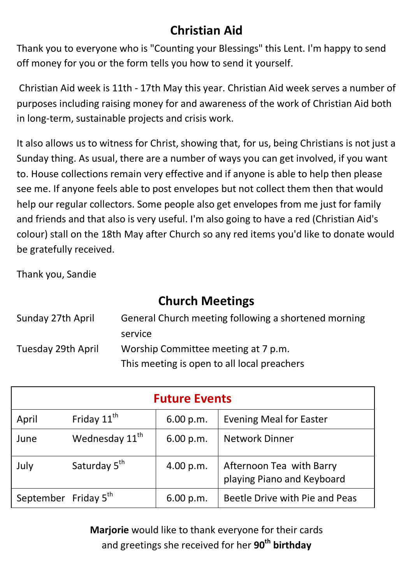## **Christian Aid**

Thank you to everyone who is "Counting your Blessings" this Lent. I'm happy to send off money for you or the form tells you how to send it yourself.

Christian Aid week is 11th - 17th May this year. Christian Aid week serves a number of purposes including raising money for and awareness of the work of Christian Aid both in long-term, sustainable projects and crisis work.

It also allows us to witness for Christ, showing that, for us, being Christians is not just a Sunday thing. As usual, there are a number of ways you can get involved, if you want to. House collections remain very effective and if anyone is able to help then please see me. If anyone feels able to post envelopes but not collect them then that would help our regular collectors. Some people also get envelopes from me just for family and friends and that also is very useful. I'm also going to have a red (Christian Aid's colour) stall on the 18th May after Church so any red items you'd like to donate would be gratefully received.

Thank you, Sandie

## **Church Meetings**

| Sunday 27th April  | General Church meeting following a shortened morning |  |
|--------------------|------------------------------------------------------|--|
|                    | service                                              |  |
| Tuesday 29th April | Worship Committee meeting at 7 p.m.                  |  |
|                    | This meeting is open to all local preachers          |  |

| <b>Future Events</b> |                            |           |                                                        |  |  |
|----------------------|----------------------------|-----------|--------------------------------------------------------|--|--|
| April                | Friday 11 <sup>th</sup>    | 6.00 p.m. | <b>Evening Meal for Easter</b>                         |  |  |
| June                 | Wednesday 11 <sup>th</sup> | 6.00 p.m. | <b>Network Dinner</b>                                  |  |  |
| July                 | Saturday 5 <sup>th</sup>   | 4.00 p.m. | Afternoon Tea with Barry<br>playing Piano and Keyboard |  |  |
| September Friday 5th |                            | 6.00 p.m. | Beetle Drive with Pie and Peas                         |  |  |

**Marjorie** would like to thank everyone for their cards and greetings she received for her **90th birthday**